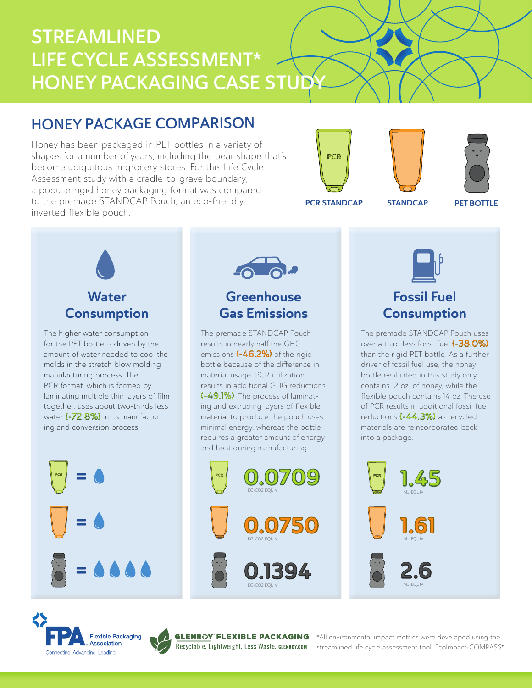# STREAMLINED LIFE CYCLE ASSESSMENT\* HONEY PACKAGING CASE STUDY

## HONEY PACKAGE COMPARISON

Honey has been packaged in PET bottles in a variety of shapes for a number of years, including the bear shape that's become ubiquitous in grocery stores. For this Life Cycle Assessment study with a cradle-to-grave boundary, a popular rigid honey packaging format was compared to the premade STANDCAP Pouch, an eco-friendly inverted flexible pouch.







PCR STANDCAP STANDCAP

PET BOTTLE



The higher water consumption for the PET bottle is driven by the amount of water needed to cool the molds in the stretch blow molding manufacturing process. The PCR format, which is formed by laminating multiple thin layers of film together, uses about two-thirds less water (-72.8%) in its manufacturing and conversion process.





## **Greenhouse** Gas Emissions

The premade STANDCAP Pouch results in nearly half the GHG emissions (-46.2%) of the rigid bottle because of the difference in material usage. PCR utilization results in additional GHG reductions (-49.1%). The process of laminating and extruding layers of flexible material to produce the pouch uses minimal energy, whereas the bottle requires a greater amount of energy and heat during manufacturing.





## Fossil Fuel **Consumption**

The premade STANDCAP Pouch uses over a third less fossil fuel (-38.0%) than the rigid PET bottle. As a further driver of fossil fuel use, the honey bottle evaluated in this study only contains 12 oz. of honey, while the flexible pouch contains 14 oz. The use of PCR results in additional fossil fuel reductions (-44.3%) as recycled materials are reincorporated back into a package.





®

®

\*All environmental impact metrics were developed using the streamlined life cycle assessment tool, EcoImpact-COMPASS®